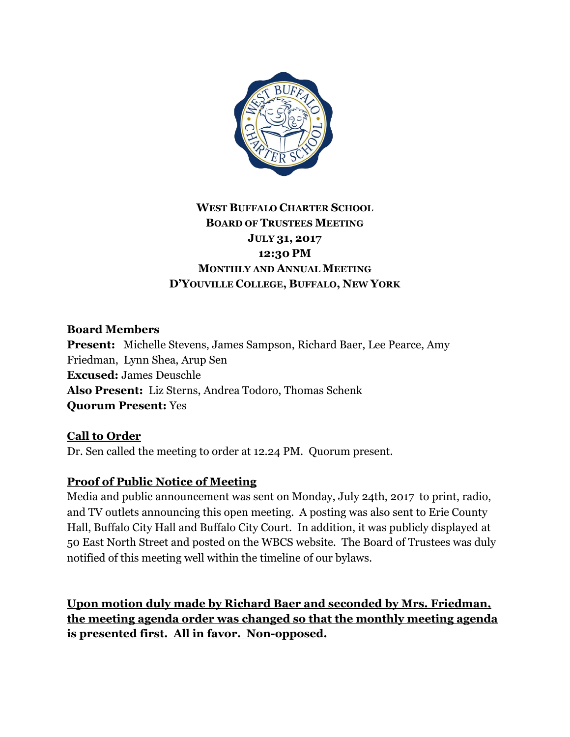

# **WEST BUFFALO CHARTER SCHOOL BOARD OF TRUSTEES MEETING JULY 31, 2017 12:30 PM MONTHLY AND ANNUAL MEETING D'YOUVILLE COLLEGE, BUFFALO, NEW YORK**

#### **Board Members**

**Present:** Michelle Stevens, James Sampson, Richard Baer, Lee Pearce, Amy Friedman, Lynn Shea, Arup Sen **Excused:** James Deuschle **Also Present:** Liz Sterns, Andrea Todoro, Thomas Schenk **Quorum Present:** Yes

### **Call to Order**

Dr. Sen called the meeting to order at 12.24 PM. Quorum present.

### **Proof of Public Notice of Meeting**

Media and public announcement was sent on Monday, July 24th, 2017 to print, radio, and TV outlets announcing this open meeting. A posting was also sent to Erie County Hall, Buffalo City Hall and Buffalo City Court. In addition, it was publicly displayed at 50 East North Street and posted on the WBCS website. The Board of Trustees was duly notified of this meeting well within the timeline of our bylaws.

**Upon motion duly made by Richard Baer and seconded by Mrs. Friedman, the meeting agenda order was changed so that the monthly meeting agenda is presented first. All in favor. Non-opposed.**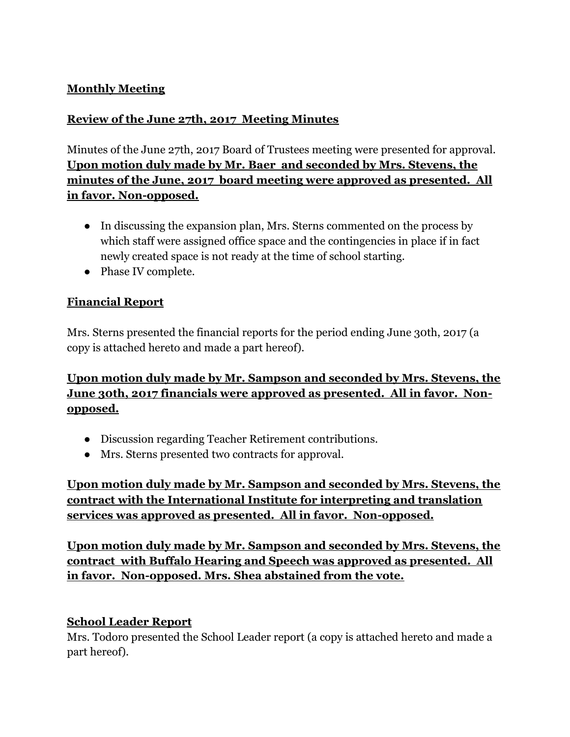### **Monthly Meeting**

### **Review of the June 27th, 2017 Meeting Minutes**

Minutes of the June 27th, 2017 Board of Trustees meeting were presented for approval. **Upon motion duly made by Mr. Baer and seconded by Mrs. Stevens, the minutes of the June, 2017 board meeting were approved as presented. All in favor. Non-opposed.**

- In discussing the expansion plan, Mrs. Sterns commented on the process by which staff were assigned office space and the contingencies in place if in fact newly created space is not ready at the time of school starting.
- Phase IV complete.

## **Financial Report**

Mrs. Sterns presented the financial reports for the period ending June 30th, 2017 (a copy is attached hereto and made a part hereof).

**Upon motion duly made by Mr. Sampson and seconded by Mrs. Stevens, the June 30th, 2017 financials were approved as presented. All in favor. Nonopposed.**

- Discussion regarding Teacher Retirement contributions.
- Mrs. Sterns presented two contracts for approval.

**Upon motion duly made by Mr. Sampson and seconded by Mrs. Stevens, the contract with the International Institute for interpreting and translation services was approved as presented. All in favor. Non-opposed.**

**Upon motion duly made by Mr. Sampson and seconded by Mrs. Stevens, the contract with Buffalo Hearing and Speech was approved as presented. All in favor. Non-opposed. Mrs. Shea abstained from the vote.**

### **School Leader Report**

Mrs. Todoro presented the School Leader report (a copy is attached hereto and made a part hereof).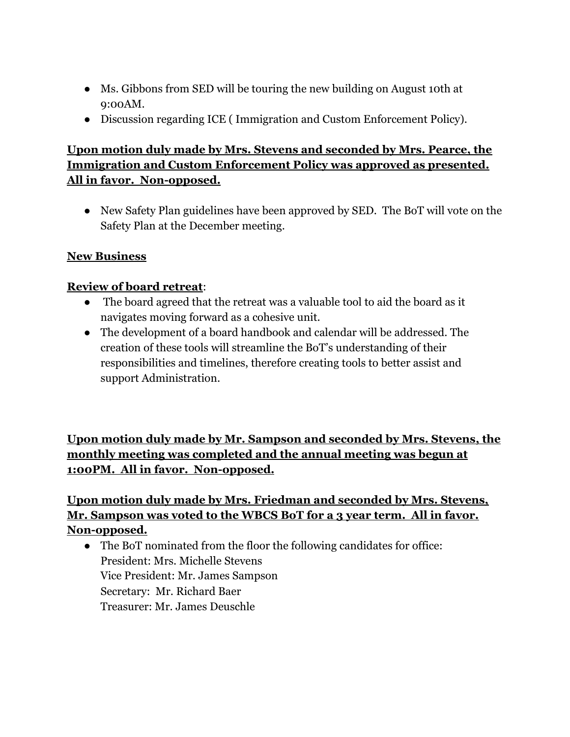- Ms. Gibbons from SED will be touring the new building on August 10th at 9:00AM.
- Discussion regarding ICE ( Immigration and Custom Enforcement Policy).

## **Upon motion duly made by Mrs. Stevens and seconded by Mrs. Pearce, the Immigration and Custom Enforcement Policy was approved as presented. All in favor. Non-opposed.**

● New Safety Plan guidelines have been approved by SED. The BoT will vote on the Safety Plan at the December meeting.

### **New Business**

### **Review of board retreat**:

- The board agreed that the retreat was a valuable tool to aid the board as it navigates moving forward as a cohesive unit.
- The development of a board handbook and calendar will be addressed. The creation of these tools will streamline the BoT's understanding of their responsibilities and timelines, therefore creating tools to better assist and support Administration.

**Upon motion duly made by Mr. Sampson and seconded by Mrs. Stevens, the monthly meeting was completed and the annual meeting was begun at 1:00PM. All in favor. Non-opposed.**

## **Upon motion duly made by Mrs. Friedman and seconded by Mrs. Stevens, Mr. Sampson was voted to the WBCS BoT for a 3 year term. All in favor. Non-opposed.**

• The BoT nominated from the floor the following candidates for office: President: Mrs. Michelle Stevens Vice President: Mr. James Sampson Secretary: Mr. Richard Baer Treasurer: Mr. James Deuschle